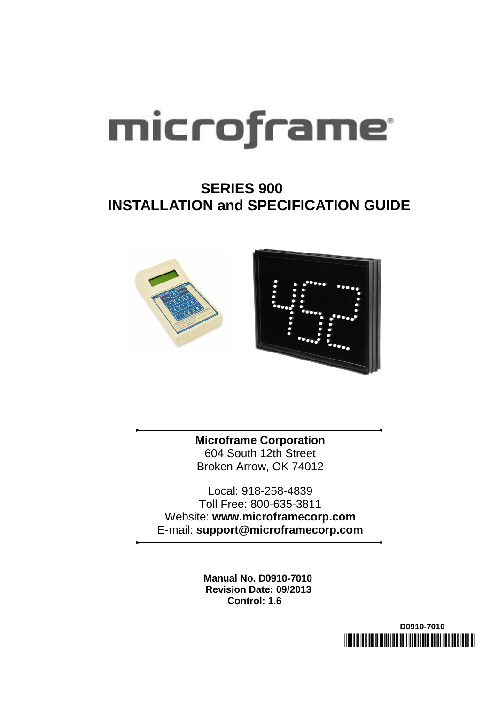# microframe

### **SERIES 900 INSTALLATION and SPECIFICATION GUIDE**



**Microframe Corporation** 604 South 12th Street Broken Arrow, OK 74012

Local: 918-258-4839 Toll Free: 800-635-3811 Website: **www.microframecorp.com** E-mail: **support@microframecorp.com**

> **Manual No. D0910-7010 Revision Date: 09/2013 Control: 1.6**

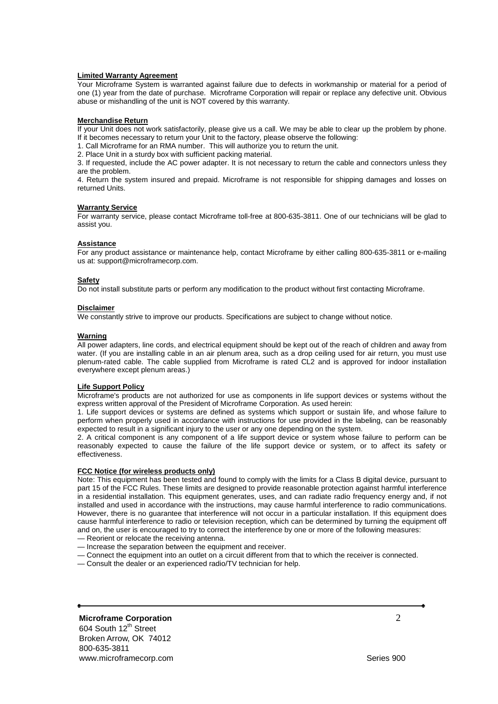### **Limited Warranty Agreement**

Your Microframe System is warranted against failure due to defects in workmanship or material for a period of one (1) year from the date of purchase. Microframe Corporation will repair or replace any defective unit. Obvious abuse or mishandling of the unit is NOT covered by this warranty.

### **Merchandise Return**

If your Unit does not work satisfactorily, please give us a call. We may be able to clear up the problem by phone. If it becomes necessary to return your Unit to the factory, please observe the following:

- 1. Call Microframe for an RMA number. This will authorize you to return the unit.
- 2. Place Unit in a sturdy box with sufficient packing material.

3. If requested, include the AC power adapter. It is not necessary to return the cable and connectors unless they are the problem.

4. Return the system insured and prepaid. Microframe is not responsible for shipping damages and losses on returned Units.

### **Warranty Service**

For warranty service, please contact Microframe toll-free at 800-635-3811. One of our technicians will be glad to assist you.

### **Assistance**

For any product assistance or maintenance help, contact Microframe by either calling 800-635-3811 or e-mailing us at: support@microframecorp.com.

### **Safety**

Do not install substitute parts or perform any modification to the product without first contacting Microframe.

### **Disclaimer**

We constantly strive to improve our products. Specifications are subject to change without notice.

### **Warning**

All power adapters, line cords, and electrical equipment should be kept out of the reach of children and away from water. (If you are installing cable in an air plenum area, such as a drop ceiling used for air return, you must use plenum-rated cable. The cable supplied from Microframe is rated CL2 and is approved for indoor installation everywhere except plenum areas.)

### **Life Support Policy**

Microframe's products are not authorized for use as components in life support devices or systems without the express written approval of the President of Microframe Corporation. As used herein:

1. Life support devices or systems are defined as systems which support or sustain life, and whose failure to perform when properly used in accordance with instructions for use provided in the labeling, can be reasonably expected to result in a significant injury to the user or any one depending on the system.

2. A critical component is any component of a life support device or system whose failure to perform can be reasonably expected to cause the failure of the life support device or system, or to affect its safety or effectiveness.

### **FCC Notice (for wireless products only)**

Note: This equipment has been tested and found to comply with the limits for a Class B digital device, pursuant to part 15 of the FCC Rules. These limits are designed to provide reasonable protection against harmful interference in a residential installation. This equipment generates, uses, and can radiate radio frequency energy and, if not installed and used in accordance with the instructions, may cause harmful interference to radio communications. However, there is no guarantee that interference will not occur in a particular installation. If this equipment does cause harmful interference to radio or television reception, which can be determined by turning the equipment off and on, the user is encouraged to try to correct the interference by one or more of the following measures:

- Reorient or relocate the receiving antenna.
- Increase the separation between the equipment and receiver.
- Connect the equipment into an outlet on a circuit different from that to which the receiver is connected.
- Consult the dealer or an experienced radio/TV technician for help.

### **Microframe Corporation** 2

604 South 12<sup>th</sup> Street Broken Arrow, OK 74012 800-635-3811 www.microframecorp.com example and the series 900 series 900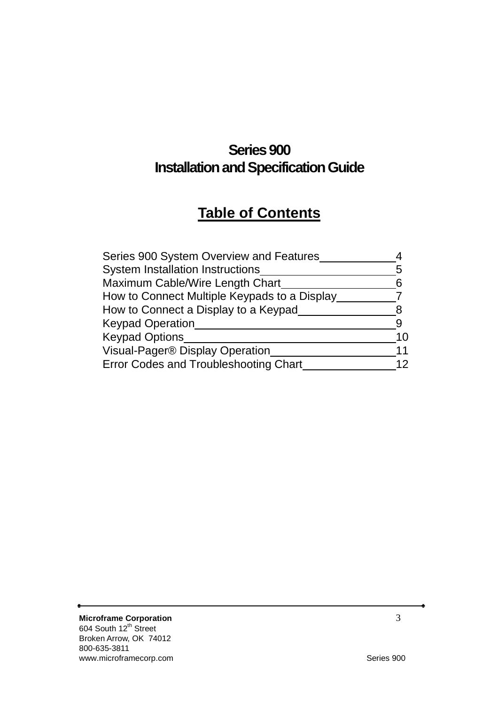### **Series 900 Installation and Specification Guide**

### **Table of Contents**

| Series 900 System Overview and Features      |    |
|----------------------------------------------|----|
| <b>System Installation Instructions</b>      | 5  |
| Maximum Cable/Wire Length Chart              | 6  |
| How to Connect Multiple Keypads to a Display |    |
| How to Connect a Display to a Keypad         |    |
| <b>Keypad Operation</b>                      |    |
| <b>Keypad Options</b>                        | 10 |
| Visual-Pager® Display Operation              | 11 |
| <b>Error Codes and Troubleshooting Chart</b> | 12 |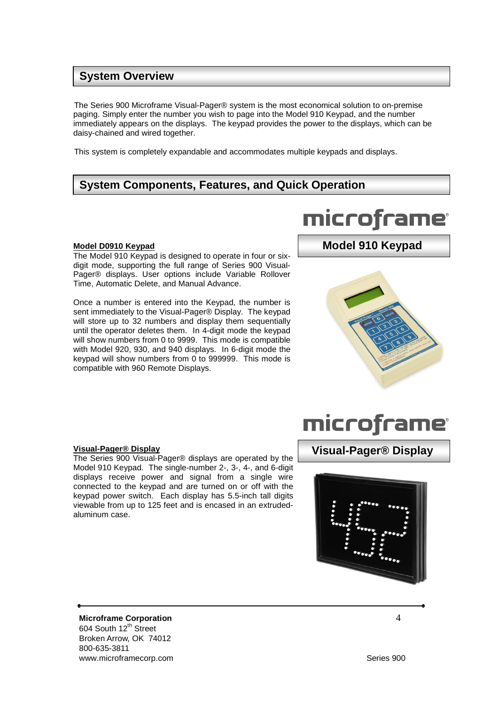### **System Overview**

The Series 900 Microframe Visual-Pager® system is the most economical solution to on-premise paging. Simply enter the number you wish to page into the Model 910 Keypad, and the number immediately appears on the displays. The keypad provides the power to the displays, which can be daisy-chained and wired together.

This system is completely expandable and accommodates multiple keypads and displays.

### **System Components, Features, and Quick Operation**

### **Model D0910 Keypad**

The Model 910 Keypad is designed to operate in four or sixdigit mode, supporting the full range of Series 900 Visual-Pager® displays. User options include Variable Rollover Time, Automatic Delete, and Manual Advance.

Once a number is entered into the Keypad, the number is sent immediately to the Visual-Pager® Display. The keypad will store up to 32 numbers and display them sequentially until the operator deletes them. In 4-digit mode the keypad will show numbers from 0 to 9999. This mode is compatible with Model 920, 930, and 940 displays. In 6-digit mode the keypad will show numbers from 0 to 999999. This mode is compatible with 960 Remote Displays.

# microframe

### **Model 910 Keypad**

## microframe

### **Visual-Pager® Display**

The Series 900 Visual-Pager® displays are operated by the Model 910 Keypad. The single-number 2-, 3-, 4-, and 6-digit displays receive power and signal from a single wire connected to the keypad and are turned on or off with the keypad power switch. Each display has 5.5-inch tall digits viewable from up to 125 feet and is encased in an extrudedaluminum case.

**Microframe Corporation** 4 604 South 12<sup>th</sup> Street Broken Arrow, OK 74012 800-635-3811 www.microframecorp.com example and the series 900 series 900

### **Visual-Pager® Display**

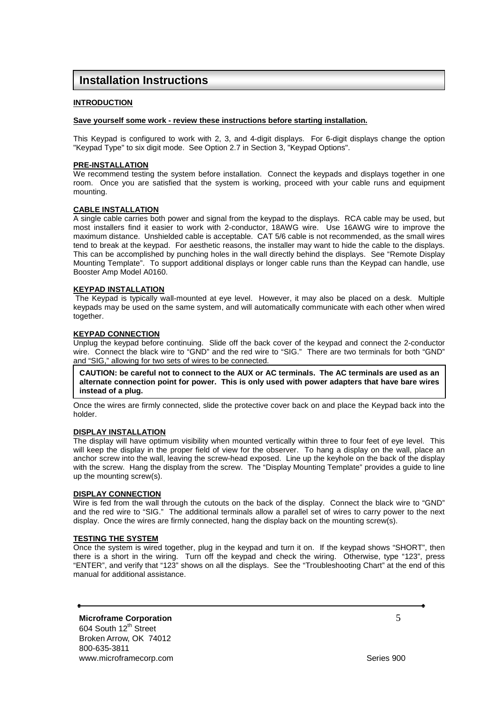### **Installation Instructions**

### **INTRODUCTION**

### **Save yourself some work - review these instructions before starting installation.**

This Keypad is configured to work with 2, 3, and 4-digit displays. For 6-digit displays change the option "Keypad Type" to six digit mode. See Option 2.7 in Section 3, "Keypad Options".

### **PRE-INSTALLATION**

We recommend testing the system before installation. Connect the keypads and displays together in one room. Once you are satisfied that the system is working, proceed with your cable runs and equipment mounting.

### **CABLE INSTALLATION**

A single cable carries both power and signal from the keypad to the displays. RCA cable may be used, but most installers find it easier to work with 2-conductor, 18AWG wire. Use 16AWG wire to improve the maximum distance. Unshielded cable is acceptable. CAT 5/6 cable is not recommended, as the small wires tend to break at the keypad. For aesthetic reasons, the installer may want to hide the cable to the displays. This can be accomplished by punching holes in the wall directly behind the displays. See "Remote Display Mounting Template". To support additional displays or longer cable runs than the Keypad can handle, use Booster Amp Model A0160.

### **KEYPAD INSTALLATION**

The Keypad is typically wall-mounted at eye level. However, it may also be placed on a desk. Multiple keypads may be used on the same system, and will automatically communicate with each other when wired together.

### **KEYPAD CONNECTION**

Unplug the keypad before continuing. Slide off the back cover of the keypad and connect the 2-conductor wire. Connect the black wire to "GND" and the red wire to "SIG." There are two terminals for both "GND" and "SIG," allowing for two sets of wires to be connected.

**CAUTION: be careful not to connect to the AUX or AC terminals. The AC terminals are used as an alternate connection point for power. This is only used with power adapters that have bare wires instead of a plug.** 

Once the wires are firmly connected, slide the protective cover back on and place the Keypad back into the holder.

### **DISPLAY INSTALLATION**

The display will have optimum visibility when mounted vertically within three to four feet of eye level. This will keep the display in the proper field of view for the observer. To hang a display on the wall, place an anchor screw into the wall, leaving the screw-head exposed. Line up the keyhole on the back of the display with the screw. Hang the display from the screw. The "Display Mounting Template" provides a guide to line up the mounting screw(s).

### **DISPLAY CONNECTION**

Wire is fed from the wall through the cutouts on the back of the display. Connect the black wire to "GND" and the red wire to "SIG." The additional terminals allow a parallel set of wires to carry power to the next display. Once the wires are firmly connected, hang the display back on the mounting screw(s).

### **TESTING THE SYSTEM**

Once the system is wired together, plug in the keypad and turn it on. If the keypad shows "SHORT", then there is a short in the wiring. Turn off the keypad and check the wiring. Otherwise, type "123", press "ENTER", and verify that "123" shows on all the displays. See the "Troubleshooting Chart" at the end of this manual for additional assistance.

**Microframe Corporation** 5 604 South 12<sup>th</sup> Street Broken Arrow, OK 74012 800-635-3811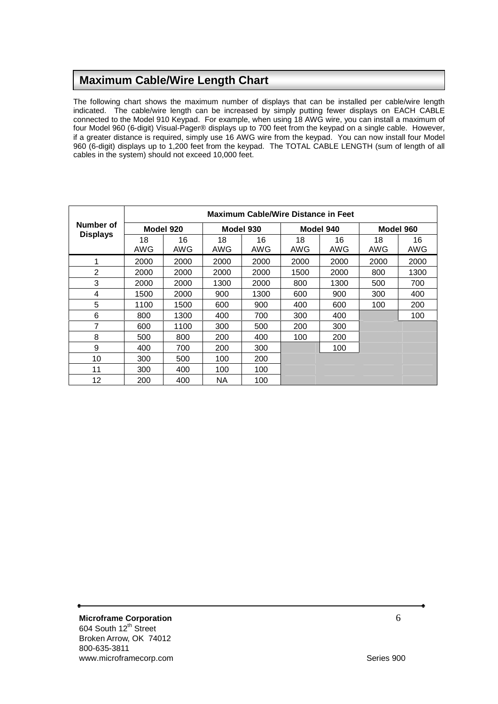### **Maximum Cable/Wire Length Chart**

The following chart shows the maximum number of displays that can be installed per cable/wire length indicated. The cable/wire length can be increased by simply putting fewer displays on EACH CABLE connected to the Model 910 Keypad. For example, when using 18 AWG wire, you can install a maximum of four Model 960 (6-digit) Visual-Pager® displays up to 700 feet from the keypad on a single cable. However, if a greater distance is required, simply use 16 AWG wire from the keypad. You can now install four Model 960 (6-digit) displays up to 1,200 feet from the keypad. The TOTAL CABLE LENGTH (sum of length of all cables in the system) should not exceed 10,000 feet.

|                        | <b>Maximum Cable/Wire Distance in Feet</b> |           |           |           |           |           |           |           |
|------------------------|--------------------------------------------|-----------|-----------|-----------|-----------|-----------|-----------|-----------|
| Number of<br>Model 920 |                                            | Model 930 |           | Model 940 |           | Model 960 |           |           |
| <b>Displays</b>        | 18<br>AWG                                  | 16<br>AWG | 18<br>AWG | 16<br>AWG | 18<br>AWG | 16<br>AWG | 18<br>AWG | 16<br>AWG |
| 1                      | 2000                                       | 2000      | 2000      | 2000      | 2000      | 2000      | 2000      | 2000      |
| 2                      | 2000                                       | 2000      | 2000      | 2000      | 1500      | 2000      | 800       | 1300      |
| 3                      | 2000                                       | 2000      | 1300      | 2000      | 800       | 1300      | 500       | 700       |
| 4                      | 1500                                       | 2000      | 900       | 1300      | 600       | 900       | 300       | 400       |
| 5                      | 1100                                       | 1500      | 600       | 900       | 400       | 600       | 100       | 200       |
| 6                      | 800                                        | 1300      | 400       | 700       | 300       | 400       |           | 100       |
| 7                      | 600                                        | 1100      | 300       | 500       | 200       | 300       |           |           |
| 8                      | 500                                        | 800       | 200       | 400       | 100       | 200       |           |           |
| 9                      | 400                                        | 700       | 200       | 300       |           | 100       |           |           |
| 10                     | 300                                        | 500       | 100       | 200       |           |           |           |           |
| 11                     | 300                                        | 400       | 100       | 100       |           |           |           |           |
| $12 \overline{ }$      | 200                                        | 400       | <b>NA</b> | 100       |           |           |           |           |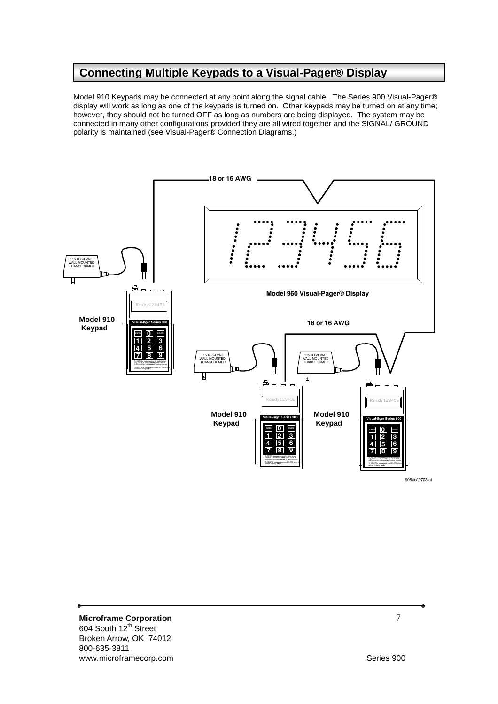### **Connecting Multiple Keypads to a Visual-Pager® Display**

Model 910 Keypads may be connected at any point along the signal cable. The Series 900 Visual-Pager® display will work as long as one of the keypads is turned on. Other keypads may be turned on at any time; however, they should not be turned OFF as long as numbers are being displayed. The system may be connected in many other configurations provided they are all wired together and the SIGNAL/ GROUND polarity is maintained (see Visual-Pager® Connection Diagrams.)



**Microframe Corporation 7** 604 South 12<sup>th</sup> Street Broken Arrow, OK 74012 800-635-3811 www.microframecorp.com Series 900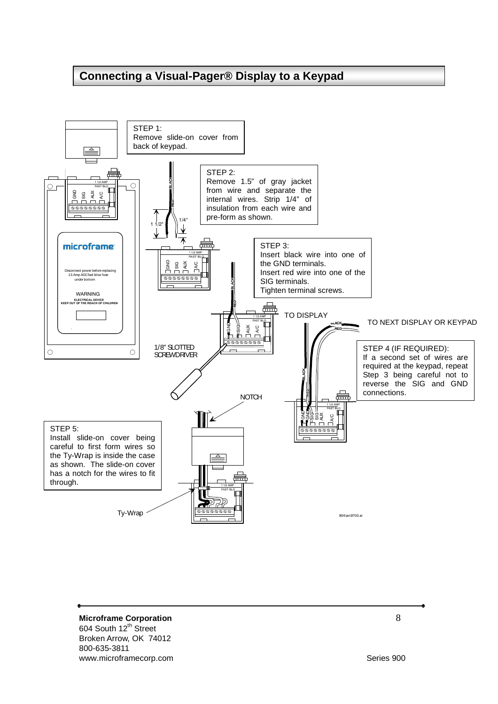### **Connecting a Visual-Pager® Display to a Keypad**



**Microframe Corporation 8** 604 South 12<sup>th</sup> Street Broken Arrow, OK 74012 800-635-3811 www.microframecorp.com Series 900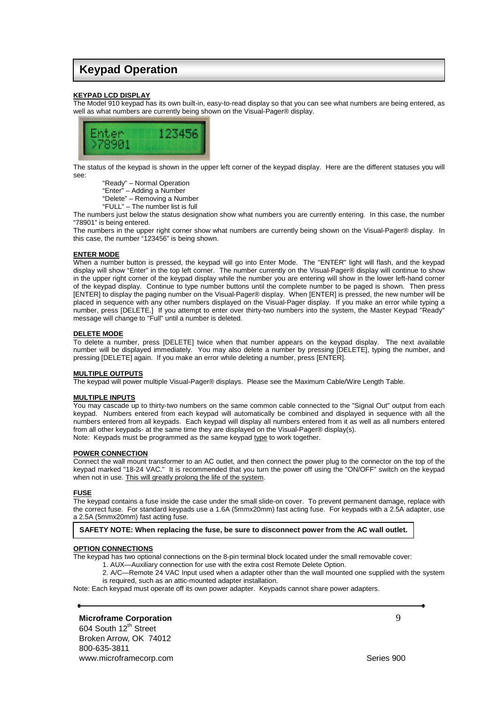### **Keypad Operation**

### **KEYPAD LCD DISPLAY**

The Model 910 keypad has its own built-in, easy-to-read display so that you can see what numbers are being entered, as well as what numbers are currently being shown on the Visual-Pager® display.



The status of the keypad is shown in the upper left corner of the keypad display. Here are the different statuses you will see:

"Ready" – Normal Operation

"Enter" – Adding a Number

"Delete" – Removing a Number

"FULL" – The number list is full

The numbers just below the status designation show what numbers you are currently entering. In this case, the number "78901" is being entered.

The numbers in the upper right corner show what numbers are currently being shown on the Visual-Pager® display. In this case, the number "123456" is being shown.

### **ENTER MODE**

When a number button is pressed, the keypad will go into Enter Mode. The "ENTER" light will flash, and the keypad display will show "Enter" in the top left corner. The number currently on the Visual-Pager® display will continue to show in the upper right corner of the keypad display while the number you are entering will show in the lower left-hand corner of the keypad display. Continue to type number buttons until the complete number to be paged is shown. Then press [ENTER] to display the paging number on the Visual-Pager® display. When [ENTER] is pressed, the new number will be placed in sequence with any other numbers displayed on the Visual-Pager display. If you make an error while typing a number, press [DELETE.] If you attempt to enter over thirty-two numbers into the system, the Master Keypad "Ready" message will change to "Full" until a number is deleted.

#### **DELETE MODE**

To delete a number, press [DELETE] twice when that number appears on the keypad display. The next available number will be displayed immediately. You may also delete a number by pressing [DELETE], typing the number, and pressing [DELETE] again. If you make an error while deleting a number, press [ENTER].

### **MULTIPLE OUTPUTS**

The keypad will power multiple Visual-Pager® displays. Please see the Maximum Cable/Wire Length Table.

#### **MULTIPLE INPUTS**

You may cascade up to thirty-two numbers on the same common cable connected to the "Signal Out" output from each keypad. Numbers entered from each keypad will automatically be combined and displayed in sequence with all the numbers entered from all keypads. Each keypad will display all numbers entered from it as well as all numbers entered from all other keypads- at the same time they are displayed on the Visual-Pager® display(s). Note: Keypads must be programmed as the same keypad type to work together.

#### **POWER CONNECTION**

Connect the wall mount transformer to an AC outlet, and then connect the power plug to the connector on the top of the keypad marked "18-24 VAC." It is recommended that you turn the power off using the "ON/OFF" switch on the keypad when not in use. This will greatly prolong the life of the system.

#### **FUSE**

The keypad contains a fuse inside the case under the small slide-on cover. To prevent permanent damage, replace with the correct fuse. For standard keypads use a 1.6A (5mmx20mm) fast acting fuse. For keypads with a 2.5A adapter, use a 2.5A (5mmx20mm) fast acting fuse.

### **SAFETY NOTE: When replacing the fuse, be sure to disconnect power from the AC wall outlet.**

#### **OPTION CONNECTIONS**

The keypad has two optional connections on the 8-pin terminal block located under the small removable cover:

- 1. AUX—Auxiliary connection for use with the extra cost Remote Delete Option.
- 2. A/C—Remote 24 VAC Input used when a adapter other than the wall mounted one supplied with the system is required, such as an attic-mounted adapter installation.

Note: Each keypad must operate off its own power adapter. Keypads cannot share power adapters.

### **Microframe Corporation** 9

604 South 12<sup>th</sup> Street Broken Arrow, OK 74012 800-635-3811 www.microframecorp.com example and the series 900 series 900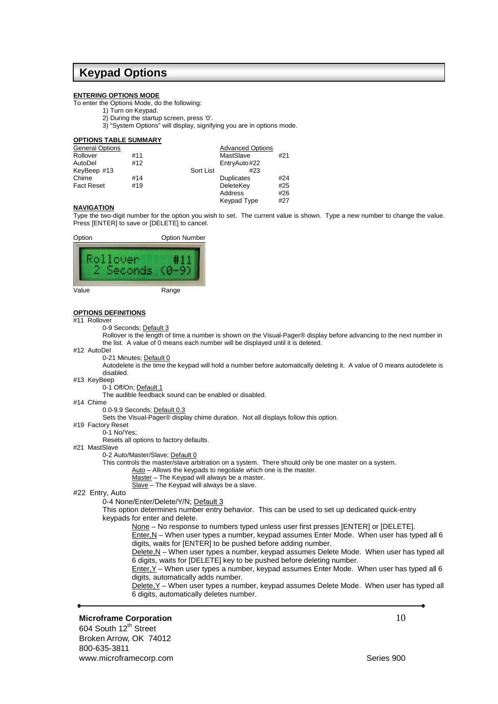### **Keypad Options**

#### **ENTERING OPTIONS MODE**

To enter the Options Mode, do the following:

- 1) Turn on Keypad.
- 2) During the startup screen, press '0'.
- 3) "System Options" will display, signifying you are in options mode.

| <b>OPTIONS TABLE SUMMARY</b> |     |                         |     |
|------------------------------|-----|-------------------------|-----|
| <b>General Options</b>       |     | <b>Advanced Options</b> |     |
| Rollover                     | #11 | MastSlave               | #21 |
| AutoDel                      | #12 | EntryAuto#22            |     |
| KeyBeep #13                  |     | Sort List<br>#23        |     |
| Chime                        | #14 | <b>Duplicates</b>       | #24 |
| <b>Fact Reset</b>            | #19 | DeleteKey               | #25 |
|                              |     | Address                 | #26 |
|                              |     | <b>Keypad Type</b>      | #27 |

### **NAVIGATION**

Type the two-digit number for the option you wish to set. The current value is shown. Type a new number to change the value. Press [ENTER] to save or [DELETE] to cancel.



#### **OPTIONS DEFINITIONS**

- #11 Rollover
	- 0-9 Seconds; Default 3

Rollover is the length of time a number is shown on the Visual-Pager® display before advancing to the next number in the list. A value of 0 means each number will be displayed until it is deleted.

#12 AutoDel

#### 0-21 Minutes; Default 0

Autodelete is the time the keypad will hold a number before automatically deleting it. A value of 0 means autodelete is disabled.

#13 KeyBeep

0-1 Off/On; Default 1

The audible feedback sound can be enabled or disabled.

#14 Chime

#### 0.0-9.9 Seconds; Default 0.3

Sets the Visual-Pager® display chime duration. Not all displays follow this option.

- #19 Factory Reset
- 0-1 No/Yes;
	- Resets all options to factory defaults.
- #21 MastSlave
	- 0-2 Auto/Master/Slave; Default 0
	- This controls the master/slave arbitration on a system. There should only be one master on a system.
		- $\underline{\text{Auto}}$  Allows the keypads to negotiate which one is the master.
		- Master The Keypad will always be a master.
		- Slave The Keypad will always be a slave.

### #22 Entry, Auto

0-4 None/Enter/Delete/Y/N; Default 3

This option determines number entry behavior. This can be used to set up dedicated quick-entry keypads for enter and delete.

None – No response to numbers typed unless user first presses [ENTER] or [DELETE].

Enter,N – When user types a number, keypad assumes Enter Mode. When user has typed all 6 digits, waits for [ENTER] to be pushed before adding number.

Delete, N - When user types a number, keypad assumes Delete Mode. When user has typed all 6 digits, waits for [DELETE] key to be pushed before deleting number.

Enter,Y – When user types a number, keypad assumes Enter Mode. When user has typed all 6 digits, automatically adds number.

Delete,Y – When user types a number, keypad assumes Delete Mode. When user has typed all 6 digits, automatically deletes number.

### **Microframe Corporation** 10

604 South 12<sup>th</sup> Street Broken Arrow, OK 74012 800-635-3811 www.microframecorp.com Series 900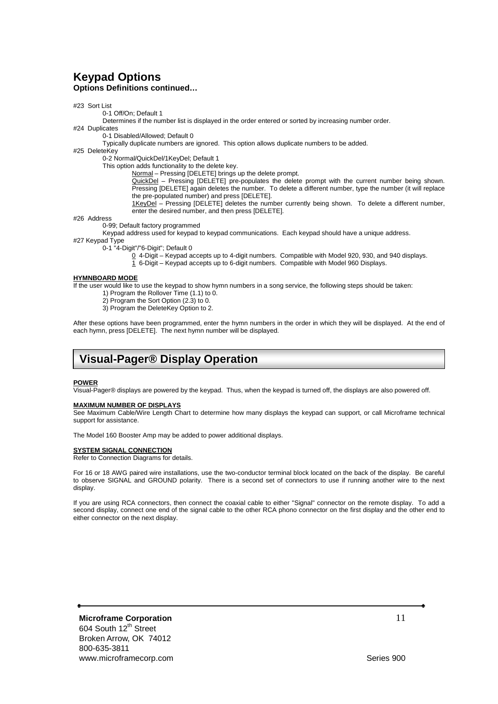### **Keypad Options Options Definitions continued…**

#### #23 Sort List

0-1 Off/On; Default 1

Determines if the number list is displayed in the order entered or sorted by increasing number order.

#24 Duplicates

0-1 Disabled/Allowed; Default 0

Typically duplicate numbers are ignored. This option allows duplicate numbers to be added.

#25 DeleteKey

0-2 Normal/QuickDel/1KeyDel; Default 1

This option adds functionality to the delete key.

Normal – Pressing [DELETE] brings up the delete prompt.

QuickDel – Pressing [DELETE] pre-populates the delete prompt with the current number being shown. Pressing [DELETE] again deletes the number. To delete a different number, type the number (it will replace the pre-populated number) and press [DELETE].

1KeyDel – Pressing [DELETE] deletes the number currently being shown. To delete a different number, enter the desired number, and then press [DELETE].

#26 Address

0-99; Default factory programmed

Keypad address used for keypad to keypad communications. Each keypad should have a unique address.

#27 Keypad Type

0-1 "4-Digit"/"6-Digit"; Default 0

 $0$  4-Digit – Keypad accepts up to 4-digit numbers. Compatible with Model 920, 930, and 940 displays.

1 6-Digit – Keypad accepts up to 6-digit numbers. Compatible with Model 960 Displays.

### **HYMNBOARD MODE**

If the user would like to use the keypad to show hymn numbers in a song service, the following steps should be taken:

1) Program the Rollover Time (1.1) to 0.

2) Program the Sort Option (2.3) to 0.

3) Program the DeleteKey Option to 2.

After these options have been programmed, enter the hymn numbers in the order in which they will be displayed. At the end of each hymn, press [DELETE]. The next hymn number will be displayed.

### **Visual-Pager® Display Operation**

#### **POWER**

Visual-Pager® displays are powered by the keypad. Thus, when the keypad is turned off, the displays are also powered off.

#### **MAXIMUM NUMBER OF DISPLAYS**

See Maximum Cable/Wire Length Chart to determine how many displays the keypad can support, or call Microframe technical support for assistance.

The Model 160 Booster Amp may be added to power additional displays.

#### **SYSTEM SIGNAL CONNECTION**

Refer to Connection Diagrams for details.

For 16 or 18 AWG paired wire installations, use the two-conductor terminal block located on the back of the display. Be careful to observe SIGNAL and GROUND polarity. There is a second set of connectors to use if running another wire to the next display.

If you are using RCA connectors, then connect the coaxial cable to either "Signal" connector on the remote display. To add a second display, connect one end of the signal cable to the other RCA phono connector on the first display and the other end to either connector on the next display.

**Microframe Corporation** 11 604 South 12<sup>th</sup> Street Broken Arrow, OK 74012 800-635-3811 www.microframecorp.com Series 900